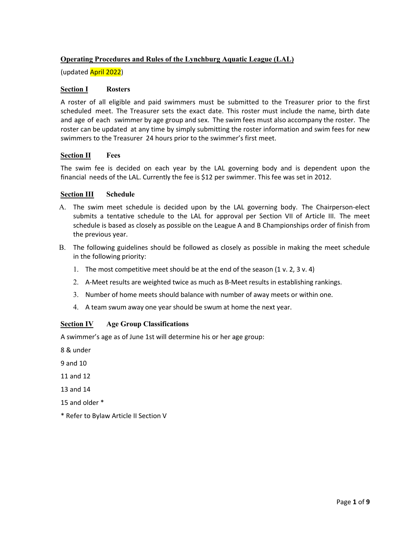# **Operating Procedures and Rules of the Lynchburg Aquatic League (LAL)**

(updated April 2022)

#### **Section I Rosters**

A roster of all eligible and paid swimmers must be submitted to the Treasurer prior to the first scheduled meet. The Treasurer sets the exact date. This roster must include the name, birth date and age of each swimmer by age group and sex. The swim fees must also accompany the roster. The roster can be updated at any time by simply submitting the roster information and swim fees for new swimmers to the Treasurer 24 hours prior to the swimmer's first meet.

### **Section II Fees**

The swim fee is decided on each year by the LAL governing body and is dependent upon the financial needs of the LAL. Currently the fee is \$12 per swimmer. This fee was set in 2012.

### **Section III Schedule**

- A. The swim meet schedule is decided upon by the LAL governing body. The Chairperson‐elect submits a tentative schedule to the LAL for approval per Section VII of Article III. The meet schedule is based as closely as possible on the League A and B Championships order of finish from the previous year.
- B. The following guidelines should be followed as closely as possible in making the meet schedule in the following priority:
	- 1. The most competitive meet should be at the end of the season (1 v. 2, 3 v. 4)
	- 2. A‐Meet results are weighted twice as much as B‐Meet results in establishing rankings.
	- 3. Number of home meets should balance with number of away meets or within one.
	- 4. A team swum away one year should be swum at home the next year.

## **Section IV Age Group Classifications**

A swimmer's age as of June 1st will determine his or her age group:

8 & under

9 and 10

11 and 12

13 and 14

15 and older \*

\* Refer to Bylaw Article II Section V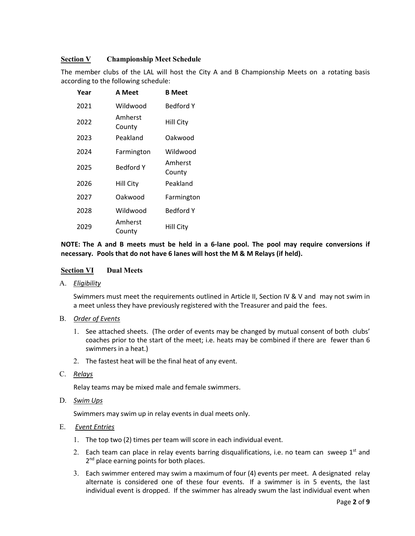## **Section V Championship Meet Schedule**

The member clubs of the LAL will host the City A and B Championship Meets on a rotating basis according to the following schedule:

| Year | <b>A</b> Meet     | <b>B</b> Meet     |
|------|-------------------|-------------------|
| 2021 | Wildwood          | <b>Bedford Y</b>  |
| 2022 | Amherst<br>County | <b>Hill City</b>  |
| 2023 | Peakland          | Oakwood           |
| 2024 | Farmington        | Wildwood          |
| 2025 | Bedford Y         | Amherst<br>County |
| 2026 | Hill City         | Peakland          |
| 2027 | Oakwood           | Farmington        |
| 2028 | Wildwood          | <b>Bedford Y</b>  |
| 2029 | Amherst<br>County | <b>Hill City</b>  |

**NOTE: The A and B meets must be held in a 6‐lane pool. The pool may require conversions if necessary. Pools that do not have 6 lanes will host the M & M Relays (if held).** 

#### **Section VI Dual Meets**

A. *Eligibility*

Swimmers must meet the requirements outlined in Article II, Section IV & V and may not swim in a meet unless they have previously registered with the Treasurer and paid the fees.

#### B. *Order of Events*

- 1. See attached sheets. (The order of events may be changed by mutual consent of both clubs' coaches prior to the start of the meet; i.e. heats may be combined if there are fewer than 6 swimmers in a heat.)
- 2. The fastest heat will be the final heat of any event.
- C. *Relays*

Relay teams may be mixed male and female swimmers.

D. *Swim Ups*

Swimmers may swim up in relay events in dual meets only.

#### E. *Event Entries*

- 1. The top two (2) times per team will score in each individual event.
- 2. Each team can place in relay events barring disqualifications, i.e. no team can sweep  $1<sup>st</sup>$  and 2<sup>nd</sup> place earning points for both places.
- 3. Each swimmer entered may swim a maximum of four (4) events per meet. A designated relay alternate is considered one of these four events. If a swimmer is in 5 events, the last individual event is dropped. If the swimmer has already swum the last individual event when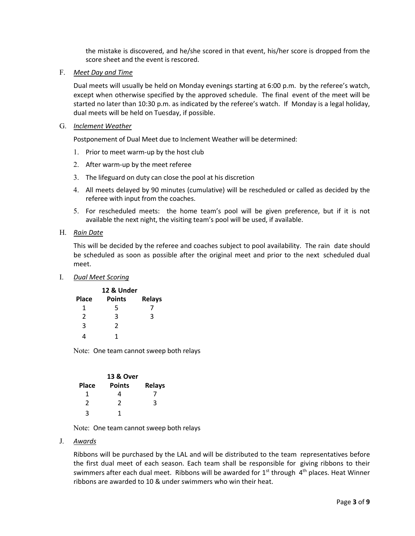the mistake is discovered, and he/she scored in that event, his/her score is dropped from the score sheet and the event is rescored.

F. *Meet Day and Time*

Dual meets will usually be held on Monday evenings starting at 6:00 p.m. by the referee's watch, except when otherwise specified by the approved schedule. The final event of the meet will be started no later than 10:30 p.m. as indicated by the referee's watch. If Monday is a legal holiday, dual meets will be held on Tuesday, if possible.

G. *Inclement Weather* 

Postponement of Dual Meet due to Inclement Weather will be determined:

- 1. Prior to meet warm‐up by the host club
- 2. After warm‐up by the meet referee
- 3. The lifeguard on duty can close the pool at his discretion
- 4. All meets delayed by 90 minutes (cumulative) will be rescheduled or called as decided by the referee with input from the coaches.
- 5. For rescheduled meets: the home team's pool will be given preference, but if it is not available the next night, the visiting team's pool will be used, if available.
- H. *Rain Date*

This will be decided by the referee and coaches subject to pool availability. The rain date should be scheduled as soon as possible after the original meet and prior to the next scheduled dual meet.

I. *Dual Meet Scoring*

| 12 & Under    |                |               |  |
|---------------|----------------|---------------|--|
| Place         | <b>Points</b>  | <b>Relays</b> |  |
| 1             | 5              |               |  |
| $\mathfrak z$ | 3              | 3             |  |
| 3             | $\mathfrak{p}$ |               |  |
| 4             |                |               |  |

Note: One team cannot sweep both relays

| <b>13 &amp; Over</b> |               |               |  |
|----------------------|---------------|---------------|--|
| <b>Place</b>         | <b>Points</b> | <b>Relays</b> |  |
| 1                    | 4             |               |  |
| 2                    | $\mathcal{P}$ | 3             |  |
| 2                    | 1             |               |  |

Note: One team cannot sweep both relays

J. *Awards*

Ribbons will be purchased by the LAL and will be distributed to the team representatives before the first dual meet of each season. Each team shall be responsible for giving ribbons to their swimmers after each dual meet. Ribbons will be awarded for  $1<sup>st</sup>$  through  $4<sup>th</sup>$  places. Heat Winner ribbons are awarded to 10 & under swimmers who win their heat.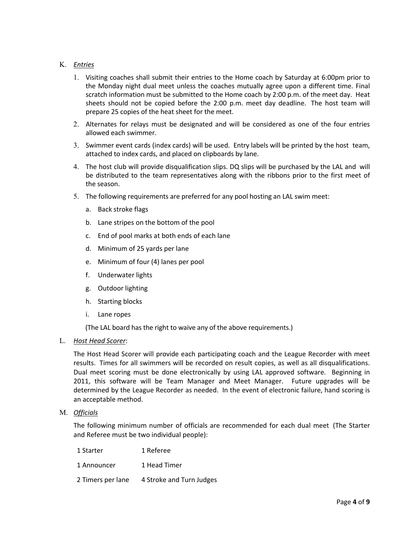## K. *Entries*

- 1. Visiting coaches shall submit their entries to the Home coach by Saturday at 6:00pm prior to the Monday night dual meet unless the coaches mutually agree upon a different time. Final scratch information must be submitted to the Home coach by 2:00 p.m. of the meet day. Heat sheets should not be copied before the 2:00 p.m. meet day deadline. The host team will prepare 25 copies of the heat sheet for the meet.
- 2. Alternates for relays must be designated and will be considered as one of the four entries allowed each swimmer.
- 3. Swimmer event cards (index cards) will be used. Entry labels will be printed by the host team, attached to index cards, and placed on clipboards by lane.
- 4. The host club will provide disqualification slips. DQ slips will be purchased by the LAL and will be distributed to the team representatives along with the ribbons prior to the first meet of the season.
- 5. The following requirements are preferred for any pool hosting an LAL swim meet:
	- a. Back stroke flags
	- b. Lane stripes on the bottom of the pool
	- c. End of pool marks at both ends of each lane
	- d. Minimum of 25 yards per lane
	- e. Minimum of four (4) lanes per pool
	- f. Underwater lights
	- g. Outdoor lighting
	- h. Starting blocks
	- i. Lane ropes

(The LAL board has the right to waive any of the above requirements.)

#### L. *Host Head Scorer*:

The Host Head Scorer will provide each participating coach and the League Recorder with meet results. Times for all swimmers will be recorded on result copies, as well as all disqualifications. Dual meet scoring must be done electronically by using LAL approved software. Beginning in 2011, this software will be Team Manager and Meet Manager. Future upgrades will be determined by the League Recorder as needed. In the event of electronic failure, hand scoring is an acceptable method.

M. *Officials*

The following minimum number of officials are recommended for each dual meet (The Starter and Referee must be two individual people):

| 1 Starter         | 1 Referee                |
|-------------------|--------------------------|
| 1 Announcer       | 1 Head Timer             |
| 2 Timers per lane | 4 Stroke and Turn Judges |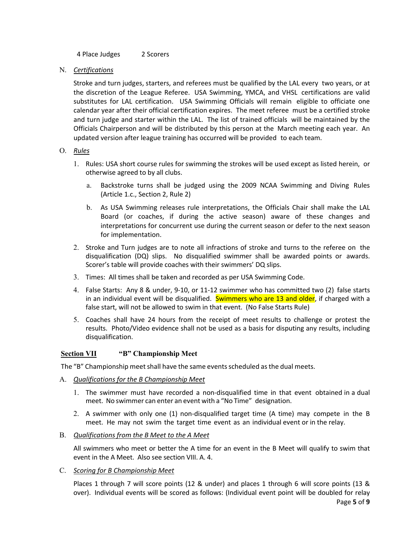4 Place Judges 2 Scorers

N. *Certifications*

Stroke and turn judges, starters, and referees must be qualified by the LAL every two years, or at the discretion of the League Referee. USA Swimming, YMCA, and VHSL certifications are valid substitutes for LAL certification. USA Swimming Officials will remain eligible to officiate one calendar year after their official certification expires. The meet referee must be a certified stroke and turn judge and starter within the LAL. The list of trained officials will be maintained by the Officials Chairperson and will be distributed by this person at the March meeting each year. An updated version after league training has occurred will be provided to each team.

### O. *Rules*

- 1. Rules: USA short course rules for swimming the strokes will be used except as listed herein, or otherwise agreed to by all clubs.
	- a. Backstroke turns shall be judged using the 2009 NCAA Swimming and Diving Rules (Article 1.c., Section 2, Rule 2)
	- b. As USA Swimming releases rule interpretations, the Officials Chair shall make the LAL Board (or coaches, if during the active season) aware of these changes and interpretations for concurrent use during the current season or defer to the next season for implementation.
- 2. Stroke and Turn judges are to note all infractions of stroke and turns to the referee on the disqualification (DQ) slips. No disqualified swimmer shall be awarded points or awards. Scorer's table will provide coaches with their swimmers' DQ slips.
- 3. Times: All times shall be taken and recorded as per USA Swimming Code.
- 4. False Starts: Any 8 & under, 9‐10, or 11‐12 swimmer who has committed two (2) false starts in an individual event will be disqualified. Swimmers who are 13 and older, if charged with a false start, will not be allowed to swim in that event. (No False Starts Rule)
- 5. Coaches shall have 24 hours from the receipt of meet results to challenge or protest the results. Photo/Video evidence shall not be used as a basis for disputing any results, including disqualification.

## **Section VII "B" Championship Meet**

The "B" Championship meet shall have the same events scheduled as the dual meets.

- A. *Qualifications for the B Championship Meet* 
	- 1. The swimmer must have recorded a non-disqualified time in that event obtained in a dual meet. No swimmer can enter an event with a "No Time" designation.
	- 2. A swimmer with only one (1) non-disqualified target time (A time) may compete in the B meet. He may not swim the target time event as an individual event or in the relay.
- B. *Qualifications from the B Meet to the A Meet*

All swimmers who meet or better the A time for an event in the B Meet will qualify to swim that event in the A Meet. Also see section VIII. A. 4.

C. *Scoring for B Championship Meet* 

Places 1 through 7 will score points (12 & under) and places 1 through 6 will score points (13 & over). Individual events will be scored as follows: (Individual event point will be doubled for relay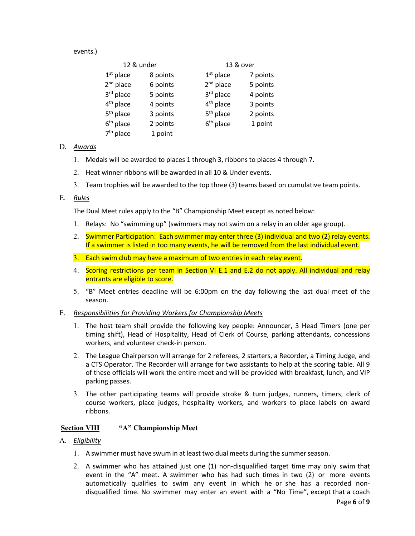events.)

| 12 & under            |          |                       | 13 & over |  |  |
|-----------------------|----------|-----------------------|-----------|--|--|
| $1st$ place           | 8 points | $1st$ place           | 7 points  |  |  |
| $2nd$ place           | 6 points | $2nd$ place           | 5 points  |  |  |
| 3rd place             | 5 points | 3rd place             | 4 points  |  |  |
| 4 <sup>th</sup> place | 4 points | 4 <sup>th</sup> place | 3 points  |  |  |
| 5 <sup>th</sup> place | 3 points | $5th$ place           | 2 points  |  |  |
| $6th$ place           | 2 points | $6th$ place           | 1 point   |  |  |
| $7th$ place           | 1 point  |                       |           |  |  |

## D. *Awards*

- 1. Medals will be awarded to places 1 through 3, ribbons to places 4 through 7.
- 2. Heat winner ribbons will be awarded in all 10 & Under events.
- 3. Team trophies will be awarded to the top three (3) teams based on cumulative team points.

#### E. *Rules*

The Dual Meet rules apply to the "B" Championship Meet except as noted below:

- 1. Relays: No "swimming up" (swimmers may not swim on a relay in an older age group).
- 2. Swimmer Participation: Each swimmer may enter three (3) individual and two (2) relay events. If a swimmer is listed in too many events, he will be removed from the last individual event.
- 3. Each swim club may have a maximum of two entries in each relay event.
- 4. Scoring restrictions per team in Section VI E.1 and E.2 do not apply. All individual and relay entrants are eligible to score.
- 5. "B" Meet entries deadline will be 6:00pm on the day following the last dual meet of the season.

#### F. *Responsibilities for Providing Workers for Championship Meets*

- 1. The host team shall provide the following key people: Announcer, 3 Head Timers (one per timing shift), Head of Hospitality, Head of Clerk of Course, parking attendants, concessions workers, and volunteer check‐in person.
- 2. The League Chairperson will arrange for 2 referees, 2 starters, a Recorder, a Timing Judge, and a CTS Operator. The Recorder will arrange for two assistants to help at the scoring table. All 9 of these officials will work the entire meet and will be provided with breakfast, lunch, and VIP parking passes.
- 3. The other participating teams will provide stroke & turn judges, runners, timers, clerk of course workers, place judges, hospitality workers, and workers to place labels on award ribbons.

## **<u>Section VIII</u> "A" Championship Meet**

## A. *Eligibility*

- 1. A swimmer must have swum in at least two dual meets during the summer season.
- 2. A swimmer who has attained just one (1) non‐disqualified target time may only swim that event in the "A" meet. A swimmer who has had such times in two (2) or more events automatically qualifies to swim any event in which he or she has a recorded nondisqualified time. No swimmer may enter an event with a "No Time", except that a coach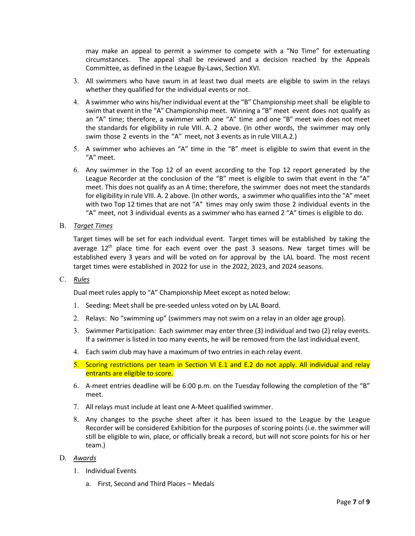may make an appeal to permit a swimmer to compete with a "No Time" for extenuating circumstances. The appeal shall be reviewed and a decision reached by the Appeals Committee, as defined in the League By‐Laws, Section XVI.

- 3. All swimmers who have swum in at least two dual meets are eligible to swim in the relays whether they qualified for the individual events or not.
- 4. A swimmer who wins his/her individual event at the "B" Championship meet shall be eligible to swim that event in the "A" Championship meet. Winning a "B" meet event does not qualify as an "A" time; therefore, a swimmer with one "A" time and one "B" meet win does not meet the standards for eligibility in rule VIII. A. 2 above. (In other words, the swimmer may only swim those 2 events in the "A" meet, not 3 events as in rule VIII.A.2.)
- 5. A swimmer who achieves an "A" time in the "B" meet is eligible to swim that event in the "A" meet.
- 6. Any swimmer in the Top 12 of an event according to the Top 12 report generated by the League Recorder at the conclusion of the "B" meet is eligible to swim that event in the "A" meet. This does not qualify as an A time; therefore, the swimmer does not meet the standards for eligibility in rule VIII. A. 2 above. (In other words, a swimmer who qualifies into the "A" meet with two Top 12 times that are not "A" times may only swim those 2 individual events in the "A" meet, not 3 individual events as a swimmer who has earned 2 "A" times is eligible to do.
- B. *Target Times*

Target times will be set for each individual event. Target times will be established by taking the average 12<sup>th</sup> place time for each event over the past 3 seasons. New target times will be established every 3 years and will be voted on for approval by the LAL board. The most recent target times were established in 2022 for use in the 2022, 2023, and 2024 seasons.

C. *Rules*

Dual meet rules apply to "A" Championship Meet except as noted below:

- 1. Seeding: Meet shall be pre-seeded unless voted on by LAL Board.
- 2. Relays: No "swimming up" (swimmers may not swim on a relay in an older age group).
- 3. Swimmer Participation: Each swimmer may enter three (3) individual and two (2) relay events. If a swimmer is listed in too many events, he will be removed from the last individual event.
- 4. Each swim club may have a maximum of two entries in each relay event.
- 5. Scoring restrictions per team in Section VI E.1 and E.2 do not apply. All individual and relay entrants are eligible to score.
- 6. A‐meet entries deadline will be 6:00 p.m. on the Tuesday following the completion of the "B" meet.
- 7. All relays must include at least one A‐Meet qualified swimmer.
- 8. Any changes to the psyche sheet after it has been issued to the League by the League Recorder will be considered Exhibition for the purposes of scoring points (i.e. the swimmer will still be eligible to win, place, or officially break a record, but will not score points for his or her team.)

### D. *Awards*

- 1. Individual Events
	- a. First, Second and Third Places Medals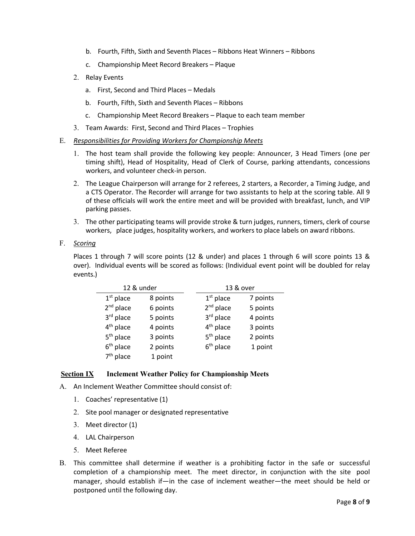- b. Fourth, Fifth, Sixth and Seventh Places Ribbons Heat Winners Ribbons
- c. Championship Meet Record Breakers Plaque
- 2. Relay Events
	- a. First, Second and Third Places Medals
	- b. Fourth, Fifth, Sixth and Seventh Places Ribbons
	- c. Championship Meet Record Breakers Plaque to each team member
- 3. Team Awards: First, Second and Third Places Trophies
- E. *Responsibilities for Providing Workers for Championship Meets*
	- 1. The host team shall provide the following key people: Announcer, 3 Head Timers (one per timing shift), Head of Hospitality, Head of Clerk of Course, parking attendants, concessions workers, and volunteer check‐in person.
	- 2. The League Chairperson will arrange for 2 referees, 2 starters, a Recorder, a Timing Judge, and a CTS Operator. The Recorder will arrange for two assistants to help at the scoring table. All 9 of these officials will work the entire meet and will be provided with breakfast, lunch, and VIP parking passes.
	- 3. The other participating teams will provide stroke & turn judges, runners, timers, clerk of course workers, place judges, hospitality workers, and workers to place labels on award ribbons.

### F. *Scoring*

Places 1 through 7 will score points (12 & under) and places 1 through 6 will score points 13 & over). Individual events will be scored as follows: (Individual event point will be doubled for relay events.)

| 12 & under            |          | 13 & over             |          |  |
|-----------------------|----------|-----------------------|----------|--|
| $1st$ place           | 8 points | $1st$ place           | 7 points |  |
| $2nd$ place           | 6 points | $2nd$ place           | 5 points |  |
| 3rd place             | 5 points | 3rd place             | 4 points |  |
| 4 <sup>th</sup> place | 4 points | 4 <sup>th</sup> place | 3 points |  |
| $5th$ place           | 3 points | 5 <sup>th</sup> place | 2 points |  |
| $6th$ place           | 2 points | $6th$ place           | 1 point  |  |
| 7 <sup>th</sup> place | 1 point  |                       |          |  |

## **Section IX Inclement Weather Policy for Championship Meets**

- A. An Inclement Weather Committee should consist of:
	- 1. Coaches' representative (1)
	- 2. Site pool manager or designated representative
	- 3. Meet director (1)
	- 4. LAL Chairperson
	- 5. Meet Referee
- B. This committee shall determine if weather is a prohibiting factor in the safe or successful completion of a championship meet. The meet director, in conjunction with the site pool manager, should establish if—in the case of inclement weather—the meet should be held or postponed until the following day.